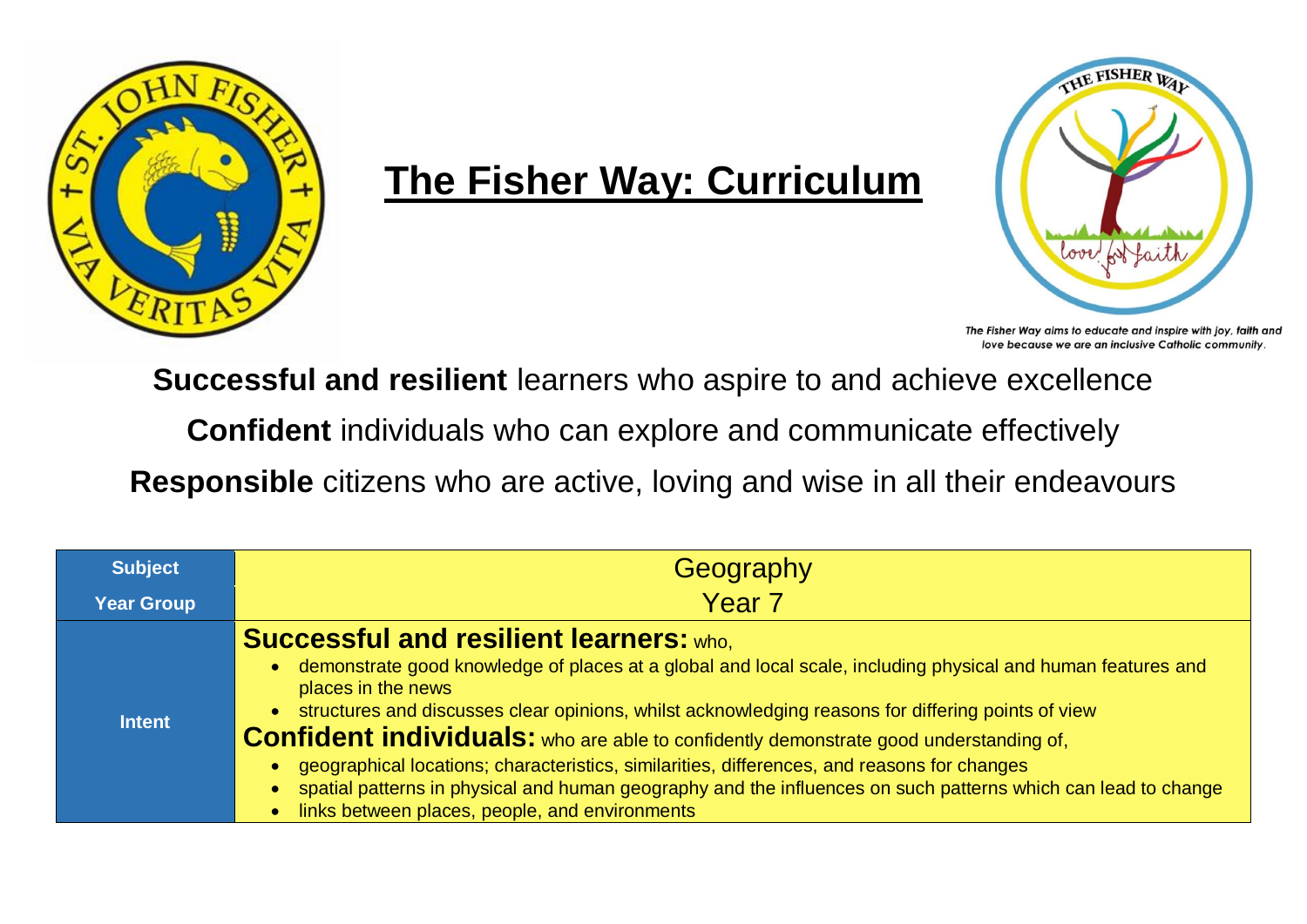

## **The Fisher Way: Curriculum**



The Fisher Way aims to educate and inspire with joy, faith and love because we are an inclusive Catholic community.

**Successful and resilient** learners who aspire to and achieve excellence

**Confident** individuals who can explore and communicate effectively

**Responsible** citizens who are active, loving and wise in all their endeavours

| <b>Subject</b>    | Geography                                                                                                                                                                                                                                                                                                                                                                                                                                                                                                                                                                                                                                                                                            |
|-------------------|------------------------------------------------------------------------------------------------------------------------------------------------------------------------------------------------------------------------------------------------------------------------------------------------------------------------------------------------------------------------------------------------------------------------------------------------------------------------------------------------------------------------------------------------------------------------------------------------------------------------------------------------------------------------------------------------------|
| <b>Year Group</b> | Year <sub>7</sub>                                                                                                                                                                                                                                                                                                                                                                                                                                                                                                                                                                                                                                                                                    |
| <b>Intent</b>     | <b>Successful and resilient learners: who.</b><br>• demonstrate good knowledge of places at a global and local scale, including physical and human features and<br>places in the news<br>structures and discusses clear opinions, whilst acknowledging reasons for differing points of view<br><b>Confident individuals:</b> who are able to confidently demonstrate good understanding of,<br>geographical locations; characteristics, similarities, differences, and reasons for changes<br>$\bullet$<br>spatial patterns in physical and human geography and the influences on such patterns which can lead to change<br>$\bullet$<br>links between places, people, and environments<br>$\bullet$ |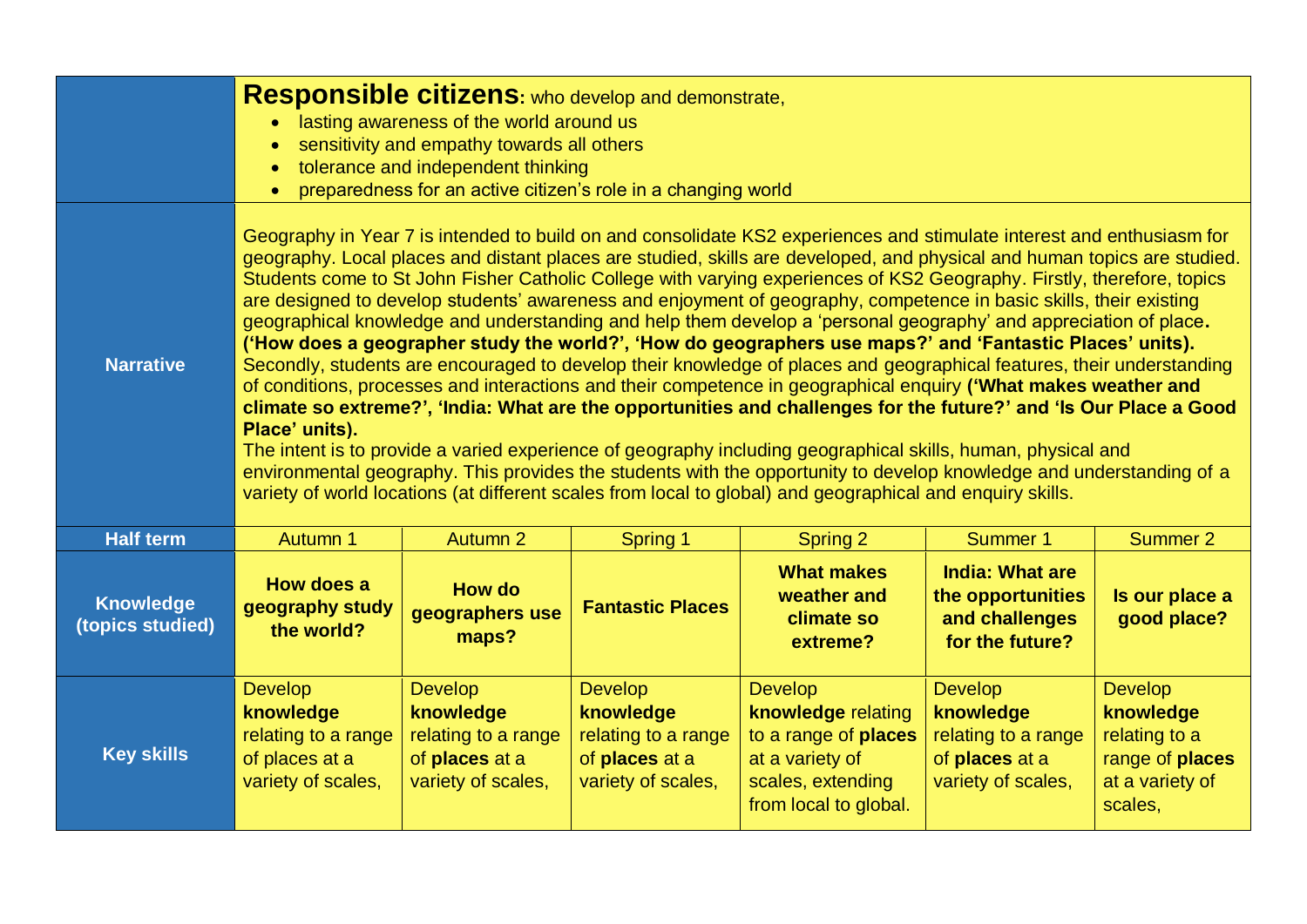|                                      | Responsible citizens: who develop and demonstrate,<br>lasting awareness of the world around us<br>$\bullet$<br>sensitivity and empathy towards all others<br>$\bullet$<br>tolerance and independent thinking<br>$\bullet$<br>preparedness for an active citizen's role in a changing world<br>$\bullet$                                                                                                                                                                                                                                                                                                                                                                                                                                                                                                                                                                                                                                                                                                                                                                                                                                                                                                                                                                                                                                                                                                                                                                    |                                                                                            |                                                                                            |                                                                                                                               |                                                                                            |                                                                                               |  |  |
|--------------------------------------|----------------------------------------------------------------------------------------------------------------------------------------------------------------------------------------------------------------------------------------------------------------------------------------------------------------------------------------------------------------------------------------------------------------------------------------------------------------------------------------------------------------------------------------------------------------------------------------------------------------------------------------------------------------------------------------------------------------------------------------------------------------------------------------------------------------------------------------------------------------------------------------------------------------------------------------------------------------------------------------------------------------------------------------------------------------------------------------------------------------------------------------------------------------------------------------------------------------------------------------------------------------------------------------------------------------------------------------------------------------------------------------------------------------------------------------------------------------------------|--------------------------------------------------------------------------------------------|--------------------------------------------------------------------------------------------|-------------------------------------------------------------------------------------------------------------------------------|--------------------------------------------------------------------------------------------|-----------------------------------------------------------------------------------------------|--|--|
| <b>Narrative</b>                     | Geography in Year 7 is intended to build on and consolidate KS2 experiences and stimulate interest and enthusiasm for<br>geography. Local places and distant places are studied, skills are developed, and physical and human topics are studied.<br>Students come to St John Fisher Catholic College with varying experiences of KS2 Geography. Firstly, therefore, topics<br>are designed to develop students' awareness and enjoyment of geography, competence in basic skills, their existing<br>geographical knowledge and understanding and help them develop a 'personal geography' and appreciation of place.<br>('How does a geographer study the world?', 'How do geographers use maps?' and 'Fantastic Places' units).<br>Secondly, students are encouraged to develop their knowledge of places and geographical features, their understanding<br>of conditions, processes and interactions and their competence in geographical enquiry ('What makes weather and<br>climate so extreme?', 'India: What are the opportunities and challenges for the future?' and 'Is Our Place a Good<br>Place' units).<br>The intent is to provide a varied experience of geography including geographical skills, human, physical and<br>environmental geography. This provides the students with the opportunity to develop knowledge and understanding of a<br>variety of world locations (at different scales from local to global) and geographical and enquiry skills. |                                                                                            |                                                                                            |                                                                                                                               |                                                                                            |                                                                                               |  |  |
| <b>Half term</b>                     | <b>Autumn 1</b>                                                                                                                                                                                                                                                                                                                                                                                                                                                                                                                                                                                                                                                                                                                                                                                                                                                                                                                                                                                                                                                                                                                                                                                                                                                                                                                                                                                                                                                            | <b>Autumn 2</b>                                                                            | <b>Spring 1</b>                                                                            | <b>Spring 2</b>                                                                                                               | Summer 1                                                                                   | <b>Summer 2</b>                                                                               |  |  |
| <b>Knowledge</b><br>(topics studied) | How does a<br>geography study<br>the world?                                                                                                                                                                                                                                                                                                                                                                                                                                                                                                                                                                                                                                                                                                                                                                                                                                                                                                                                                                                                                                                                                                                                                                                                                                                                                                                                                                                                                                | <b>How do</b><br>geographers use<br>maps?                                                  | <b>Fantastic Places</b>                                                                    | <b>What makes</b><br>weather and<br>climate so<br>extreme?                                                                    | <b>India: What are</b><br>the opportunities<br>and challenges<br>for the future?           | Is our place a<br>good place?                                                                 |  |  |
| <b>Key skills</b>                    | <b>Develop</b><br>knowledge<br>relating to a range<br>of places at a<br>variety of scales,                                                                                                                                                                                                                                                                                                                                                                                                                                                                                                                                                                                                                                                                                                                                                                                                                                                                                                                                                                                                                                                                                                                                                                                                                                                                                                                                                                                 | <b>Develop</b><br>knowledge<br>relating to a range<br>of places at a<br>variety of scales, | <b>Develop</b><br>knowledge<br>relating to a range<br>of places at a<br>variety of scales, | <b>Develop</b><br>knowledge relating<br>to a range of places<br>at a variety of<br>scales, extending<br>from local to global. | <b>Develop</b><br>knowledge<br>relating to a range<br>of places at a<br>variety of scales, | <b>Develop</b><br>knowledge<br>relating to a<br>range of places<br>at a variety of<br>scales, |  |  |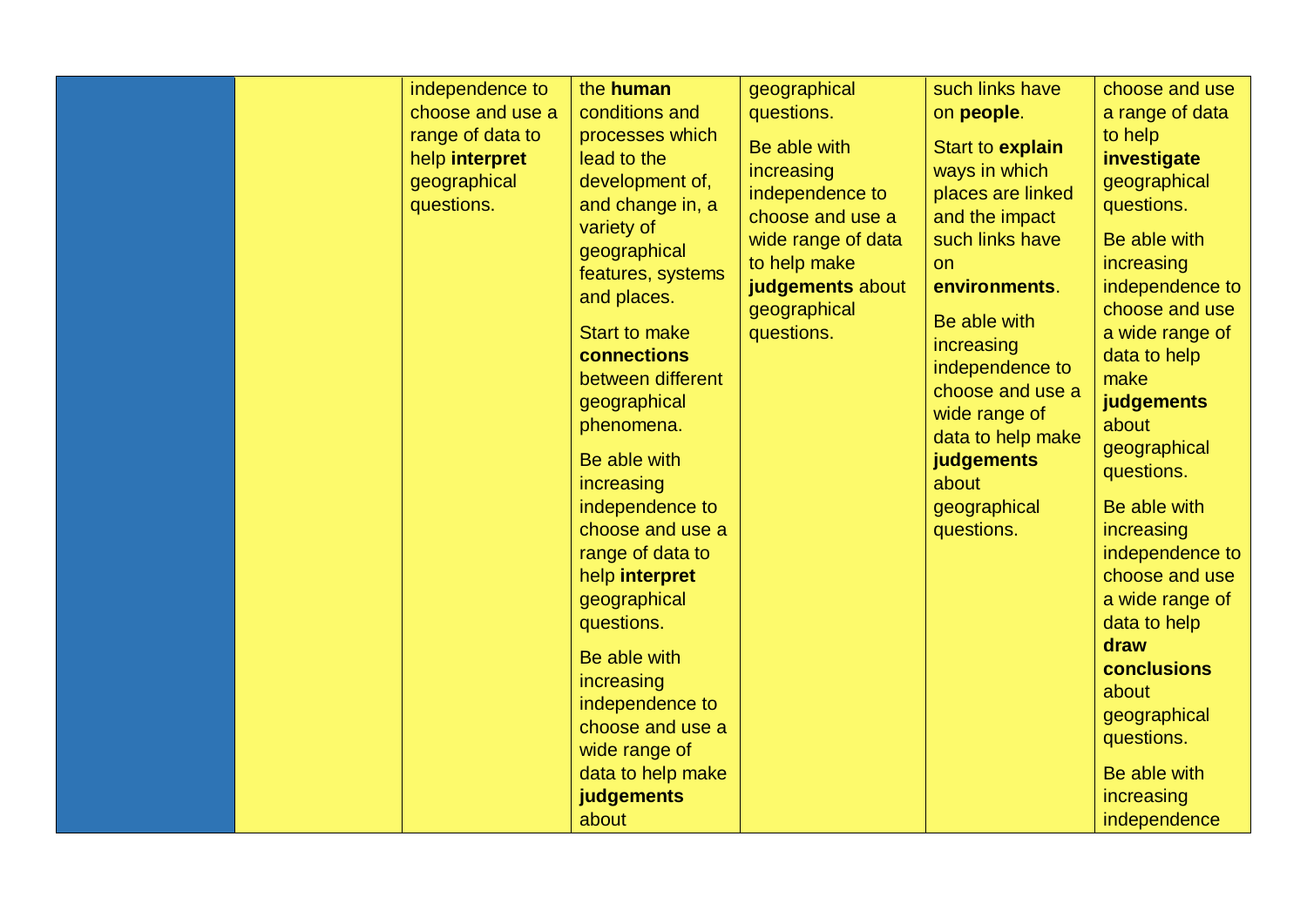|  | independence to  | the human            | geographical       | such links have   | choose and use  |
|--|------------------|----------------------|--------------------|-------------------|-----------------|
|  | choose and use a | conditions and       | questions.         | on people.        | a range of data |
|  | range of data to | processes which      | Be able with       | Start to explain  | to help         |
|  | help interpret   | lead to the          | increasing         | ways in which     | investigate     |
|  | geographical     | development of,      |                    |                   | geographical    |
|  | questions.       | and change in, a     | independence to    | places are linked | questions.      |
|  |                  | variety of           | choose and use a   | and the impact    |                 |
|  |                  | geographical         | wide range of data | such links have   | Be able with    |
|  |                  | features, systems    | to help make       | on                | increasing      |
|  |                  | and places.          | judgements about   | environments.     | independence to |
|  |                  |                      | geographical       | Be able with      | choose and use  |
|  |                  | <b>Start to make</b> | questions.         | increasing        | a wide range of |
|  |                  | connections          |                    |                   | data to help    |
|  |                  | between different    |                    | independence to   | make            |
|  |                  | geographical         |                    | choose and use a  | judgements      |
|  |                  | phenomena.           |                    | wide range of     | about           |
|  |                  |                      |                    | data to help make | geographical    |
|  |                  | Be able with         |                    | judgements        | questions.      |
|  |                  | increasing           |                    | about             |                 |
|  |                  | independence to      |                    | geographical      | Be able with    |
|  |                  | choose and use a     |                    | questions.        | increasing      |
|  |                  | range of data to     |                    |                   | independence to |
|  |                  | help interpret       |                    |                   | choose and use  |
|  |                  | geographical         |                    |                   | a wide range of |
|  |                  | questions.           |                    |                   | data to help    |
|  |                  |                      |                    |                   | draw            |
|  |                  | Be able with         |                    |                   | conclusions     |
|  |                  | increasing           |                    |                   | about           |
|  |                  | independence to      |                    |                   | geographical    |
|  |                  | choose and use a     |                    |                   | questions.      |
|  |                  | wide range of        |                    |                   |                 |
|  |                  | data to help make    |                    |                   | Be able with    |
|  |                  | judgements           |                    |                   | increasing      |
|  |                  | about                |                    |                   | independence    |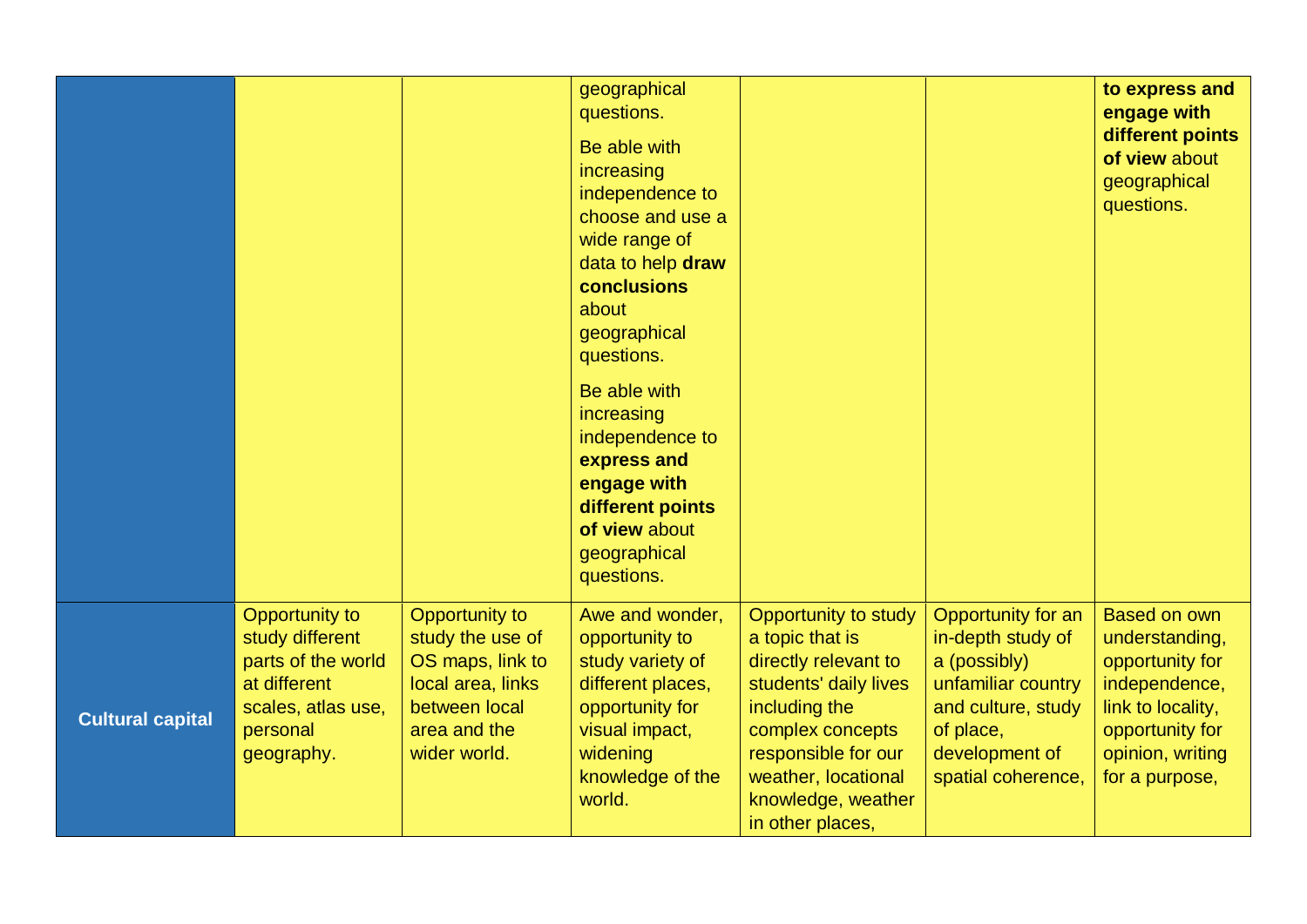|                         |                                                                                                                                |                                                                                                                              | geographical<br>questions.<br>Be able with<br>increasing<br>independence to<br>choose and use a<br>wide range of<br>data to help draw<br>conclusions<br>about<br>geographical<br>questions.<br>Be able with<br>increasing<br>independence to<br>express and<br>engage with<br>different points<br>of view about<br>geographical<br>questions. |                                                                                                                                                                                                                       |                                                                                                                                                          | to express and<br>engage with<br>different points<br>of view about<br>geographical<br>questions.                                                        |
|-------------------------|--------------------------------------------------------------------------------------------------------------------------------|------------------------------------------------------------------------------------------------------------------------------|-----------------------------------------------------------------------------------------------------------------------------------------------------------------------------------------------------------------------------------------------------------------------------------------------------------------------------------------------|-----------------------------------------------------------------------------------------------------------------------------------------------------------------------------------------------------------------------|----------------------------------------------------------------------------------------------------------------------------------------------------------|---------------------------------------------------------------------------------------------------------------------------------------------------------|
| <b>Cultural capital</b> | <b>Opportunity to</b><br>study different<br>parts of the world<br>at different<br>scales, atlas use,<br>personal<br>geography. | Opportunity to<br>study the use of<br>OS maps, link to<br>local area, links<br>between local<br>area and the<br>wider world. | Awe and wonder,<br>opportunity to<br>study variety of<br>different places,<br>opportunity for<br>visual impact,<br>widening<br>knowledge of the<br>world.                                                                                                                                                                                     | Opportunity to study<br>a topic that is<br>directly relevant to<br>students' daily lives<br>including the<br>complex concepts<br>responsible for our<br>weather, locational<br>knowledge, weather<br>in other places, | Opportunity for an<br>in-depth study of<br>a (possibly)<br>unfamiliar country<br>and culture, study<br>of place,<br>development of<br>spatial coherence, | <b>Based on own</b><br>understanding,<br>opportunity for<br>independence,<br>link to locality,<br>opportunity for<br>opinion, writing<br>for a purpose, |